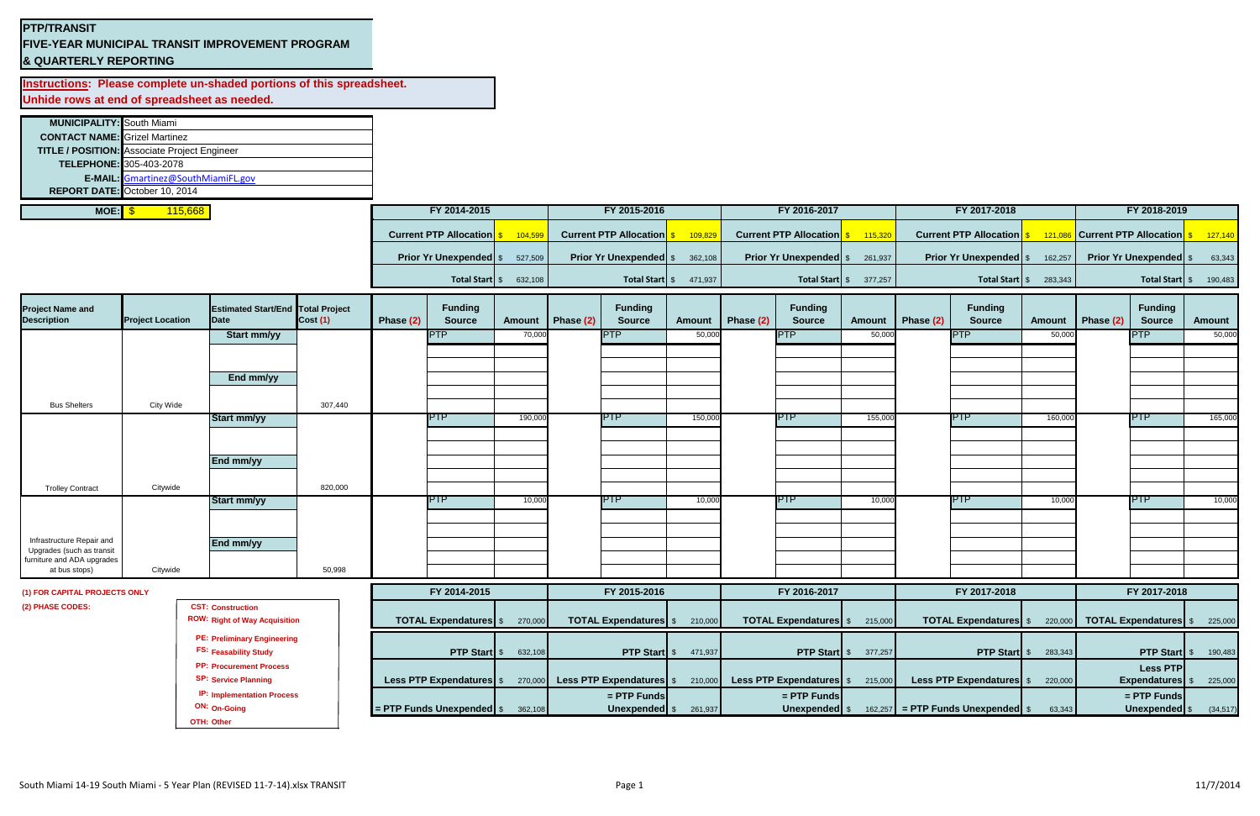## **PTP/TRANSIT**

**FIVE-YEAR MUNICIPAL TRANSIT IMPROVEMENT PROGRAM & QUARTERLY REPORTING**

**Instructions: Please complete un-shaded portions of this spreadsheet. Unhide rows at end of spreadsheet as needed.**

| <b>MUNICIPALITY:</b> South Miami |                                                     |  |                               |         |                               |         |                               |         |                               |         |                               |         |
|----------------------------------|-----------------------------------------------------|--|-------------------------------|---------|-------------------------------|---------|-------------------------------|---------|-------------------------------|---------|-------------------------------|---------|
|                                  | <b>CONTACT NAME:</b> Grizel Martinez                |  |                               |         |                               |         |                               |         |                               |         |                               |         |
|                                  | <b>TITLE / POSITION:</b> Associate Project Engineer |  |                               |         |                               |         |                               |         |                               |         |                               |         |
|                                  | <b>TELEPHONE: 305-403-2078</b>                      |  |                               |         |                               |         |                               |         |                               |         |                               |         |
|                                  | E-MAIL: Gmartinez@SouthMiamiFL.gov                  |  |                               |         |                               |         |                               |         |                               |         |                               |         |
|                                  | REPORT DATE: October 10, 2014                       |  |                               |         |                               |         |                               |         |                               |         |                               |         |
| MOE: $\frac{1}{9}$               | 115,668                                             |  | FY 2014-2015                  |         | FY 2015-2016                  |         | FY 2016-2017                  |         | FY 2017-2018                  |         | FY 2018-2019                  |         |
|                                  |                                                     |  |                               |         |                               |         |                               |         |                               |         |                               |         |
|                                  |                                                     |  | <b>Current PTP Allocation</b> | 104.59  | <b>Current PTP Allocation</b> | 109,82  | <b>Current PTP Allocation</b> | 115,320 | <b>Current PTP Allocation</b> |         | <b>Current PTP Allocation</b> | 127,140 |
|                                  |                                                     |  | <b>Prior Yr Unexpended</b> \$ | 527,509 | <b>Prior Yr Unexpended</b> \$ | 362,108 | <b>Prior Yr Unexpended</b> \$ | 261,937 | <b>Prior Yr Unexpended</b> \$ | 162,257 | <b>Prior Yr Unexpended</b> \$ | 63,343  |
|                                  |                                                     |  | Total Start \$                | 632,108 | Total Start   \$              | 471,937 | <b>Total Start</b> \$         | 377,257 | Total Start   \$              | 283,343 | Total Start \$                | 190,483 |
|                                  |                                                     |  |                               |         |                               |         |                               |         |                               |         |                               |         |

**OTH: Other**

| <b>Project Name and</b><br><b>Description</b>           | <b>Project Location</b> | <b>Estimated Start/End Total Project</b><br>Date | Cost(1) | Phase (2)    | <b>Funding</b><br><b>Source</b>                                                          | Amount                      | Phase (2)                            | <b>Funding</b><br><b>Source</b> | <b>Amount</b>               | Phase (2)    | <b>Funding</b><br><b>Source</b> | <b>Amount</b> | Phase (2)    | <b>Funding</b><br><b>Source</b>      | <b>Amount</b>   | Phase (2)    | <b>Funding</b><br><b>Source</b> | Amount    |
|---------------------------------------------------------|-------------------------|--------------------------------------------------|---------|--------------|------------------------------------------------------------------------------------------|-----------------------------|--------------------------------------|---------------------------------|-----------------------------|--------------|---------------------------------|---------------|--------------|--------------------------------------|-----------------|--------------|---------------------------------|-----------|
|                                                         |                         | <b>Start mm/yy</b>                               |         |              | <b>IPTP</b>                                                                              | 70,000                      |                                      | <b>PTP</b>                      | 50,000                      |              | <b>PTP</b>                      | 50,000        |              | <b>PTP</b>                           | 50,000          |              | <b>PTP</b>                      | 50,000    |
|                                                         |                         |                                                  |         |              |                                                                                          |                             |                                      |                                 |                             |              |                                 |               |              |                                      |                 |              |                                 |           |
|                                                         |                         |                                                  |         |              |                                                                                          |                             |                                      |                                 |                             |              |                                 |               |              |                                      |                 |              |                                 |           |
|                                                         |                         | End mm/yy                                        |         |              |                                                                                          |                             |                                      |                                 |                             |              |                                 |               |              |                                      |                 |              |                                 |           |
| <b>Bus Shelters</b>                                     | <b>City Wide</b>        |                                                  | 307,440 |              |                                                                                          |                             |                                      |                                 |                             |              |                                 |               |              |                                      |                 |              |                                 |           |
|                                                         |                         | <b>Start mm/yy</b>                               |         |              | <b>IPTP</b>                                                                              | 190,000                     |                                      | <b>PTP</b>                      | 150,000                     |              | <b>PTP</b>                      | 155,000       |              | <b>PTP</b>                           | 160,000         |              | <b>IPTP</b>                     | 165,000   |
|                                                         |                         |                                                  |         |              |                                                                                          |                             |                                      |                                 |                             |              |                                 |               |              |                                      |                 |              |                                 |           |
|                                                         |                         |                                                  |         |              |                                                                                          |                             |                                      |                                 |                             |              |                                 |               |              |                                      |                 |              |                                 |           |
|                                                         |                         | End mm/yy                                        |         |              |                                                                                          |                             |                                      |                                 |                             |              |                                 |               |              |                                      |                 |              |                                 |           |
|                                                         |                         |                                                  |         |              |                                                                                          |                             |                                      |                                 |                             |              |                                 |               |              |                                      |                 |              |                                 |           |
| <b>Trolley Contract</b>                                 | Citywide                | <b>Start mm/yy</b>                               | 820,000 |              | <b>PTP</b>                                                                               | 10,000                      |                                      | <b>PTP</b>                      | 10,000                      |              | <b>PTP</b>                      | 10,000        |              | <b>PTP</b>                           | 10,000          |              | <b>PTP</b>                      | 10,000    |
|                                                         |                         |                                                  |         |              |                                                                                          |                             |                                      |                                 |                             |              |                                 |               |              |                                      |                 |              |                                 |           |
|                                                         |                         |                                                  |         |              |                                                                                          |                             |                                      |                                 |                             |              |                                 |               |              |                                      |                 |              |                                 |           |
| Infrastructure Repair and                               |                         | End mm/yy                                        |         |              |                                                                                          |                             |                                      |                                 |                             |              |                                 |               |              |                                      |                 |              |                                 |           |
| Upgrades (such as transit<br>furniture and ADA upgrades |                         |                                                  |         |              |                                                                                          |                             |                                      |                                 |                             |              |                                 |               |              |                                      |                 |              |                                 |           |
| at bus stops)                                           | Citywide                |                                                  | 50,998  |              |                                                                                          |                             |                                      |                                 |                             |              |                                 |               |              |                                      |                 |              |                                 |           |
| (1) FOR CAPITAL PROJECTS ONLY                           |                         |                                                  |         | FY 2014-2015 |                                                                                          |                             | FY 2015-2016                         |                                 |                             | FY 2016-2017 |                                 |               | FY 2017-2018 |                                      |                 | FY 2017-2018 |                                 |           |
| (2) PHASE CODES:                                        |                         | <b>CST: Construction</b>                         |         |              |                                                                                          |                             |                                      |                                 |                             |              |                                 |               |              |                                      |                 |              |                                 |           |
|                                                         |                         | <b>ROW: Right of Way Acquisition</b>             |         |              | <b>TOTAL Expendatures</b> \$ 270,000                                                     |                             | <b>TOTAL Expendatures</b> \$ 210,000 |                                 |                             |              | <b>TOTAL Expendatures</b> \$    | 215,000       |              | <b>TOTAL Expendatures</b> \$         | 220,000         |              | TOTAL Expendatures \$225,000    |           |
|                                                         |                         | <b>PE: Preliminary Engineering</b>               |         |              |                                                                                          |                             |                                      |                                 |                             |              |                                 |               |              |                                      |                 |              |                                 |           |
|                                                         |                         | <b>FS: Feasability Study</b>                     |         |              |                                                                                          | <b>PTP Start</b> \$ 632,108 |                                      |                                 | <b>PTP Start</b> \$ 471,937 |              | <b>PTP Start</b> \$             | 377,257       |              | <b>PTP Start</b> \$                  | 283,343         |              | <b>PTP Start</b> \$             | 190,483   |
| <b>PP: Procurement Process</b>                          |                         |                                                  |         |              |                                                                                          |                             |                                      |                                 |                             |              |                                 |               |              |                                      | <b>Less PTP</b> |              |                                 |           |
|                                                         |                         | <b>SP: Service Planning</b>                      |         |              | Less PTP Expendatures \$270,000 Less PTP Expendatures \$210,000 Less PTP Expendatures \$ |                             |                                      |                                 |                             |              |                                 | 215,000       |              | Less PTP Expendatures \$             | 220,000         |              | <b>Expendatures</b>             | 225,000   |
|                                                         |                         | <b>IP: Implementation Process</b>                |         |              |                                                                                          |                             |                                      | $=$ PTP Funds                   |                             |              | = PTP Funds                     |               |              |                                      |                 |              | = PTP Funds                     |           |
|                                                         |                         | ON: On-Going                                     |         |              | = PTP Funds Unexpended \$ 362,108                                                        |                             |                                      | Unexpended \$                   | 261,937                     |              | Unexpended \$                   |               |              | $162,257$ = PTP Funds Unexpended $$$ | 63,343          |              | Unexpended \$                   | (34, 517) |